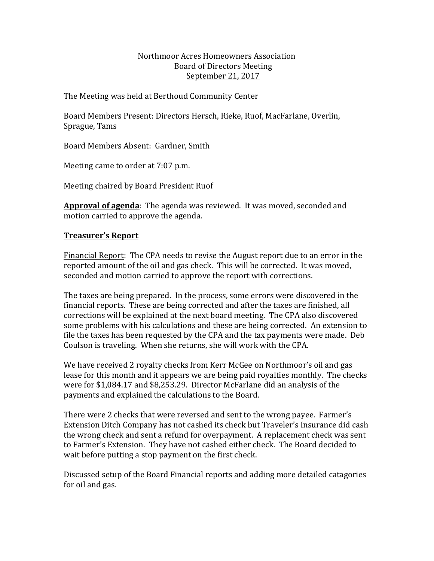#### Northmoor Acres Homeowners Association Board of Directors Meeting September 21, 2017

The Meeting was held at Berthoud Community Center

Board Members Present: Directors Hersch, Rieke, Ruof, MacFarlane, Overlin, Sprague, Tams

Board Members Absent: Gardner, Smith

Meeting came to order at 7:07 p.m.

Meeting chaired by Board President Ruof

Approval of agenda: The agenda was reviewed. It was moved, seconded and motion carried to approve the agenda.

# **Treasurer's Report**

Financial Report: The CPA needs to revise the August report due to an error in the reported amount of the oil and gas check. This will be corrected. It was moved, seconded and motion carried to approve the report with corrections.

The taxes are being prepared. In the process, some errors were discovered in the financial reports. These are being corrected and after the taxes are finished, all corrections will be explained at the next board meeting. The CPA also discovered some problems with his calculations and these are being corrected. An extension to file the taxes has been requested by the CPA and the tax payments were made. Deb Coulson is traveling. When she returns, she will work with the CPA.

We have received 2 royalty checks from Kerr McGee on Northmoor's oil and gas lease for this month and it appears we are being paid royalties monthly. The checks were for \$1,084.17 and \$8,253.29. Director McFarlane did an analysis of the payments and explained the calculations to the Board.

There were 2 checks that were reversed and sent to the wrong payee. Farmer's Extension Ditch Company has not cashed its check but Traveler's Insurance did cash the wrong check and sent a refund for overpayment. A replacement check was sent to Farmer's Extension. They have not cashed either check. The Board decided to wait before putting a stop payment on the first check.

Discussed setup of the Board Financial reports and adding more detailed catagories for oil and gas.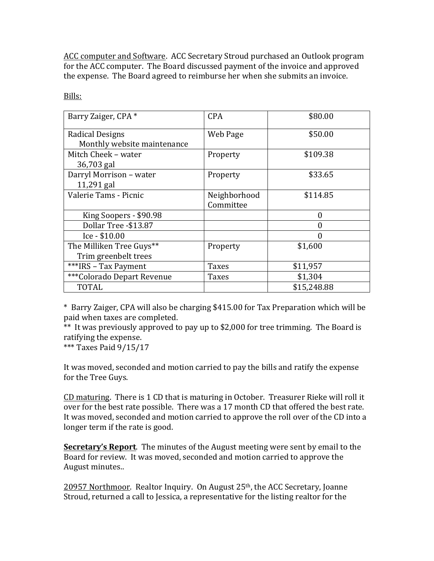ACC computer and Software. ACC Secretary Stroud purchased an Outlook program for the ACC computer. The Board discussed payment of the invoice and approved the expense. The Board agreed to reimburse her when she submits an invoice.

| Barry Zaiger, CPA *         | <b>CPA</b>   | \$80.00     |
|-----------------------------|--------------|-------------|
| Radical Designs             | Web Page     | \$50.00     |
| Monthly website maintenance |              |             |
| Mitch Cheek - water         | Property     | \$109.38    |
| 36,703 gal                  |              |             |
| Darryl Morrison - water     | Property     | \$33.65     |
| 11,291 gal                  |              |             |
| Valerie Tams - Picnic       | Neighborhood | \$114.85    |
|                             | Committee    |             |
| King Soopers - \$90.98      |              | $\theta$    |
| Dollar Tree -\$13.87        |              | 0           |
| Ice - \$10.00               |              | 0           |
| The Milliken Tree Guys**    | Property     | \$1,600     |
| Trim greenbelt trees        |              |             |
| ***IRS - Tax Payment        | <b>Taxes</b> | \$11,957    |
| ***Colorado Depart Revenue  | Taxes        | \$1,304     |
| <b>TOTAL</b>                |              | \$15,248.88 |

Bills:

\* Barry Zaiger, CPA will also be charging \$415.00 for Tax Preparation which will be paid when taxes are completed.

\*\* It was previously approved to pay up to \$2,000 for tree trimming. The Board is ratifying the expense.

\*\*\* Taxes Paid  $9/15/17$ 

It was moved, seconded and motion carried to pay the bills and ratify the expense for the Tree Guys.

CD maturing. There is 1 CD that is maturing in October. Treasurer Rieke will roll it over for the best rate possible. There was a 17 month CD that offered the best rate. It was moved, seconded and motion carried to approve the roll over of the CD into a longer term if the rate is good.

**Secretary's Report**. The minutes of the August meeting were sent by email to the Board for review. It was moved, seconded and motion carried to approve the August minutes.. 

20957 Northmoor. Realtor Inquiry. On August 25<sup>th</sup>, the ACC Secretary, Joanne Stroud, returned a call to Jessica, a representative for the listing realtor for the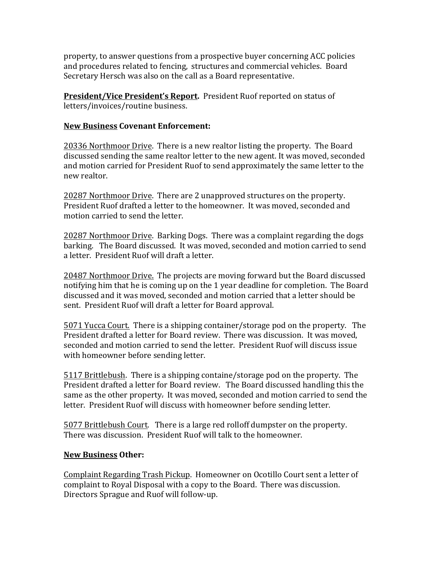property, to answer questions from a prospective buyer concerning ACC policies and procedures related to fencing, structures and commercial vehicles. Board Secretary Hersch was also on the call as a Board representative.

**President/Vice President's Report.** President Ruof reported on status of letters/invoices/routine business.

#### **New Business Covenant Enforcement:**

20336 Northmoor Drive. There is a new realtor listing the property. The Board discussed sending the same realtor letter to the new agent. It was moved, seconded and motion carried for President Ruof to send approximately the same letter to the new realtor.

20287 Northmoor Drive. There are 2 unapproved structures on the property. President Ruof drafted a letter to the homeowner. It was moved, seconded and motion carried to send the letter.

20287 Northmoor Drive. Barking Dogs. There was a complaint regarding the dogs barking. The Board discussed. It was moved, seconded and motion carried to send a letter. President Ruof will draft a letter.

20487 Northmoor Drive. The projects are moving forward but the Board discussed notifying him that he is coming up on the 1 year deadline for completion. The Board discussed and it was moved, seconded and motion carried that a letter should be sent. President Ruof will draft a letter for Board approval.

5071 Yucca Court. There is a shipping container/storage pod on the property. The President drafted a letter for Board review. There was discussion. It was moved, seconded and motion carried to send the letter. President Ruof will discuss issue with homeowner before sending letter.

5117 Brittlebush. There is a shipping containe/storage pod on the property. The President drafted a letter for Board review. The Board discussed handling this the same as the other property. It was moved, seconded and motion carried to send the letter. President Ruof will discuss with homeowner before sending letter.

5077 Brittlebush Court. There is a large red rolloff dumpster on the property. There was discussion. President Ruof will talk to the homeowner.

#### **New Business Other:**

Complaint Regarding Trash Pickup. Homeowner on Ocotillo Court sent a letter of complaint to Royal Disposal with a copy to the Board. There was discussion. Directors Sprague and Ruof will follow-up.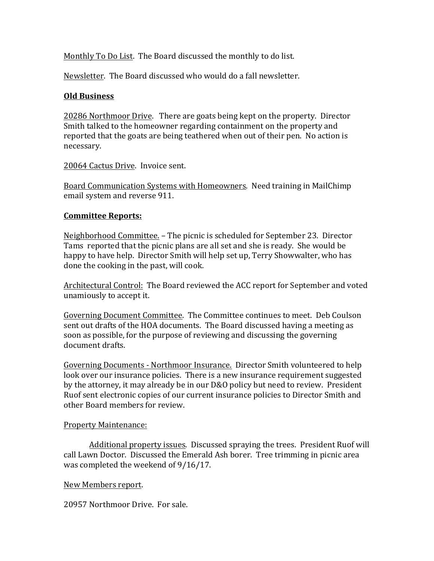Monthly To Do List. The Board discussed the monthly to do list.

Newsletter. The Board discussed who would do a fall newsletter.

### **Old Business**

20286 Northmoor Drive. There are goats being kept on the property. Director Smith talked to the homeowner regarding containment on the property and reported that the goats are being teathered when out of their pen. No action is necessary.

20064 Cactus Drive. Invoice sent.

Board Communication Systems with Homeowners. Need training in MailChimp email system and reverse 911.

## **Committee Reports:**

Neighborhood Committee. - The picnic is scheduled for September 23. Director Tams reported that the picnic plans are all set and she is ready. She would be happy to have help. Director Smith will help set up, Terry Showwalter, who has done the cooking in the past, will cook.

Architectural Control: The Board reviewed the ACC report for September and voted unamiously to accept it.

Governing Document Committee. The Committee continues to meet. Deb Coulson sent out drafts of the HOA documents. The Board discussed having a meeting as soon as possible, for the purpose of reviewing and discussing the governing document drafts.

Governing Documents - Northmoor Insurance. Director Smith volunteered to help look over our insurance policies. There is a new insurance requirement suggested by the attorney, it may already be in our D&O policy but need to review. President Ruof sent electronic copies of our current insurance policies to Director Smith and other Board members for review.

#### Property Maintenance:

Additional property issues. Discussed spraying the trees. President Ruof will call Lawn Doctor. Discussed the Emerald Ash borer. Tree trimming in picnic area was completed the weekend of 9/16/17.

#### New Members report.

20957 Northmoor Drive. For sale.